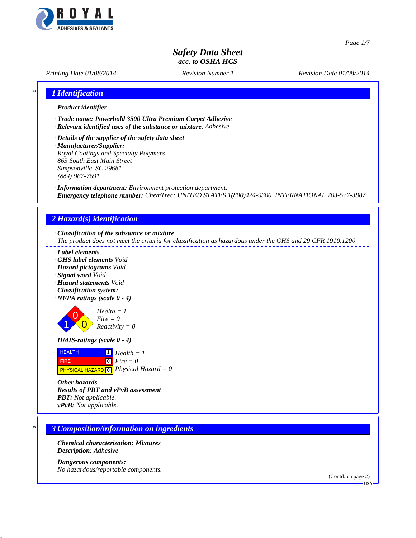

*Page 1/7*

# *Safety Data Sheet acc. to OSHA HCS*

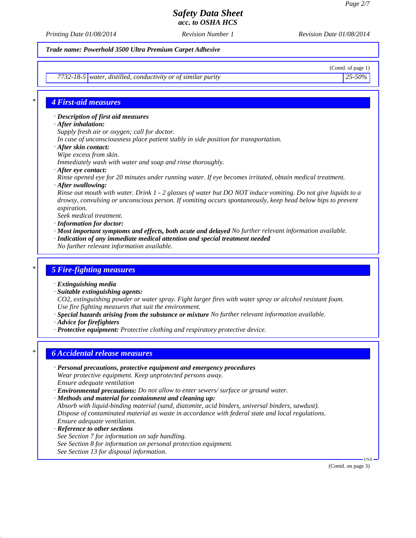*Printing Date 01/08/2014 Revision Number 1 Revision Date 01/08/2014*

*Trade name: Powerhold 3500 Ultra Premium Carpet Adhesive*

*7732-18-5 water, distilled, conductivity or of similar purity 25-50%*

(Contd. of page 1)

### *\* 4 First-aid measures*

*· Description of first aid measures*

- *· After inhalation:*
- *Supply fresh air or oxygen; call for doctor.*
- *In case of unconsciousness place patient stably in side position for transportation.*
- *· After skin contact:*
- *Wipe excess from skin.*

*Immediately wash with water and soap and rinse thoroughly.*

*· After eye contact:*

*Rinse opened eye for 20 minutes under running water. If eye becomes irritated, obtain medical treatment. · After swallowing:*

*Rinse out mouth with water. Drink 1 - 2 glasses of water but DO NOT induce vomiting. Do not give liquids to a drowsy, convulsing or unconscious person. If vomiting occurs spontaneously, keep head below hips to prevent aspiration.*

*Seek medical treatment.*

- *· Information for doctor:*
- *· Most important symptoms and effects, both acute and delayed No further relevant information available.*
- *· Indication of any immediate medical attention and special treatment needed*
- *No further relevant information available.*

#### *\* 5 Fire-fighting measures*

- *· Extinguishing media*
- *· Suitable extinguishing agents:*
- *CO2, extinguishing powder or water spray. Fight larger fires with water spray or alcohol resistant foam. Use fire fighting measures that suit the environment.*
- *· Special hazards arising from the substance or mixture No further relevant information available.*
- *· Advice for firefighters*
- *· Protective equipment: Protective clothing and respiratory protective device.*

### *\* 6 Accidental release measures*

- *· Personal precautions, protective equipment and emergency procedures Wear protective equipment. Keep unprotected persons away. Ensure adequate ventilation*
- *· Environmental precautions: Do not allow to enter sewers/ surface or ground water.*
- *· Methods and material for containment and cleaning up:*

*Absorb with liquid-binding material (sand, diatomite, acid binders, universal binders, sawdust). Dispose of contaminated material as waste in accordance with federal state and local regulations. Ensure adequate ventilation.*

- *· Reference to other sections See Section 7 for information on safe handling. See Section 8 for information on personal protection equipment.*
- *See Section 13 for disposal information.*

(Contd. on page 3)

USA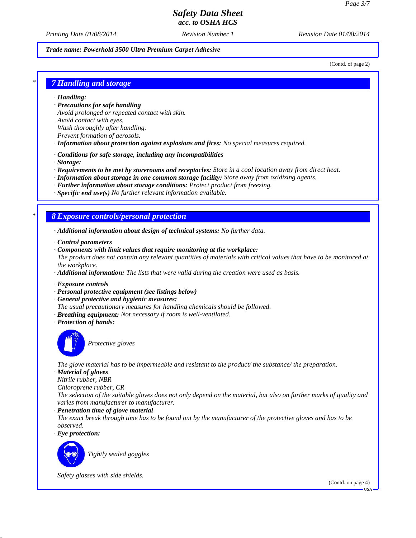*Printing Date 01/08/2014 Revision Number 1 Revision Date 01/08/2014*

#### *Trade name: Powerhold 3500 Ultra Premium Carpet Adhesive*

(Contd. of page 2)

#### *\* 7 Handling and storage*

*· Handling:*

- *· Precautions for safe handling Avoid prolonged or repeated contact with skin. Avoid contact with eyes. Wash thoroughly after handling. Prevent formation of aerosols.*
- *· Information about protection against explosions and fires: No special measures required.*
- *· Conditions for safe storage, including any incompatibilities*
- *· Storage:*
- *· Requirements to be met by storerooms and receptacles: Store in a cool location away from direct heat.*
- *· Information about storage in one common storage facility: Store away from oxidizing agents.*
- *· Further information about storage conditions: Protect product from freezing.*
- *· Specific end use(s) No further relevant information available.*

#### *\* 8 Exposure controls/personal protection*

- *· Additional information about design of technical systems: No further data.*
- *· Control parameters*
- *· Components with limit values that require monitoring at the workplace: The product does not contain any relevant quantities of materials with critical values that have to be monitored at the workplace.*
- *· Additional information: The lists that were valid during the creation were used as basis.*
- *· Exposure controls*
- *· Personal protective equipment (see listings below)*
- *· General protective and hygienic measures:*
- *The usual precautionary measures for handling chemicals should be followed.*
- *· Breathing equipment: Not necessary if room is well-ventilated.*
- *· Protection of hands:*



*Protective gloves*

*The glove material has to be impermeable and resistant to the product/ the substance/ the preparation.*

*· Material of gloves*

*Nitrile rubber, NBR*

*Chloroprene rubber, CR*

*The selection of the suitable gloves does not only depend on the material, but also on further marks of quality and varies from manufacturer to manufacturer.*

*· Penetration time of glove material*

*The exact break through time has to be found out by the manufacturer of the protective gloves and has to be observed.*

*· Eye protection:*



*Tightly sealed goggles*

*Safety glasses with side shields.*

(Contd. on page 4)

USA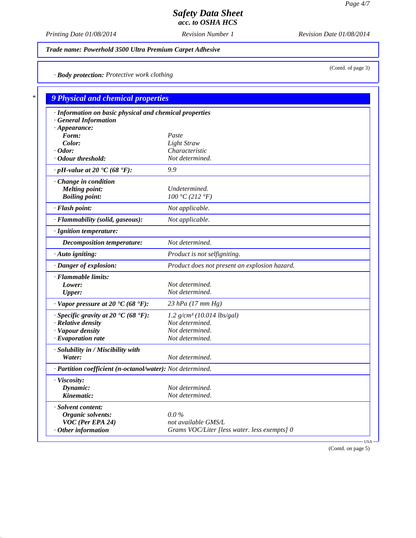(Contd. of page 3)

# *Safety Data Sheet acc. to OSHA HCS*

*Printing Date 01/08/2014 Revision Number 1 Revision Date 01/08/2014*

*Trade name: Powerhold 3500 Ultra Premium Carpet Adhesive*

*· Body protection: Protective work clothing*

| · Information on basic physical and chemical properties        |                                               |
|----------------------------------------------------------------|-----------------------------------------------|
| <b>General Information</b>                                     |                                               |
| $\cdot$ Appearance:                                            |                                               |
| Form:                                                          | Paste                                         |
| Color:                                                         | Light Straw                                   |
| $\cdot$ Odor:                                                  | Characteristic                                |
| · Odour threshold:                                             | Not determined.                               |
| $\cdot$ pH-value at 20 $\text{°C}$ (68 $\text{°F}$ ):          | 9.9                                           |
| Change in condition                                            |                                               |
| <b>Melting point:</b>                                          | Undetermined.                                 |
| <b>Boiling point:</b>                                          | 100 °C (212 °F)                               |
| · Flash point:                                                 | Not applicable.                               |
| · Flammability (solid, gaseous):                               | Not applicable.                               |
| · Ignition temperature:                                        |                                               |
| <b>Decomposition temperature:</b>                              | Not determined.                               |
| · Auto igniting:                                               | Product is not selfigniting.                  |
| · Danger of explosion:                                         | Product does not present an explosion hazard. |
| · Flammable limits:                                            |                                               |
| Lower:                                                         | Not determined.                               |
| <b>Upper:</b>                                                  | Not determined.                               |
| $\cdot$ Vapor pressure at 20 $\cdot$ C (68 $\cdot$ F):         | $23$ hPa (17 mm Hg)                           |
| · Specific gravity at 20 $\textdegree$ C (68 $\textdegree$ F): | $1.2$ g/cm <sup>3</sup> (10.014 lbs/gal)      |
| $\cdot$ Relative density                                       | Not determined.                               |
| · Vapour density                                               | Not determined.                               |
| $\cdot$ Evaporation rate                                       | Not determined.                               |
| · Solubility in / Miscibility with                             |                                               |
| Water:                                                         | Not determined.                               |
| · Partition coefficient (n-octanol/water): Not determined.     |                                               |
| · Viscosity:                                                   |                                               |
| Dynamic:                                                       | Not determined.                               |
| Kinematic:                                                     | Not determined.                               |
| · Solvent content:                                             |                                               |
| Organic solvents:                                              | $0.0\%$                                       |
| VOC (Per EPA 24)                                               | not available GMS/L                           |

(Contd. on page 5)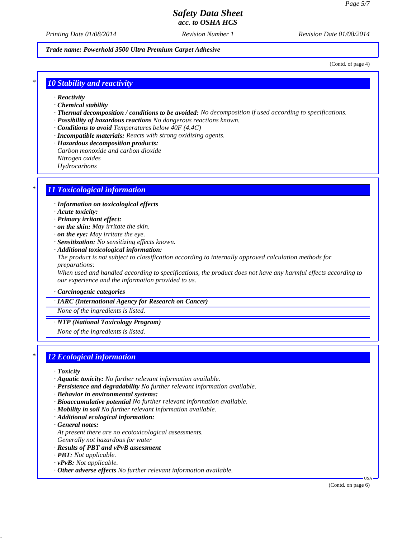*Printing Date 01/08/2014 Revision Number 1 Revision Date 01/08/2014*

*Trade name: Powerhold 3500 Ultra Premium Carpet Adhesive*

(Contd. of page 4)

#### *\* 10 Stability and reactivity*

- *· Reactivity*
- *· Chemical stability*
- *· Thermal decomposition / conditions to be avoided: No decomposition if used according to specifications.*
- *· Possibility of hazardous reactions No dangerous reactions known.*
- *· Conditions to avoid Temperatures below 40F (4.4C)*
- *· Incompatible materials: Reacts with strong oxidizing agents.*
- *· Hazardous decomposition products:*
- *Carbon monoxide and carbon dioxide*
- *Nitrogen oxides*
- *Hydrocarbons*

### *\* 11 Toxicological information*

- *· Information on toxicological effects*
- *· Acute toxicity:*
- *· Primary irritant effect:*
- *· on the skin: May irritate the skin.*
- *· on the eye: May irritate the eye.*
- *· Sensitization: No sensitizing effects known.*
- *· Additional toxicological information: The product is not subject to classification according to internally approved calculation methods for preparations:*

*When used and handled according to specifications, the product does not have any harmful effects according to our experience and the information provided to us.*

*· Carcinogenic categories*

#### *· IARC (International Agency for Research on Cancer)*

*None of the ingredients is listed.*

*· NTP (National Toxicology Program)*

*None of the ingredients is listed.*

#### *\* 12 Ecological information*

- *· Toxicity*
- *· Aquatic toxicity: No further relevant information available.*
- *· Persistence and degradability No further relevant information available.*
- *· Behavior in environmental systems:*
- *· Bioaccumulative potential No further relevant information available.*
- *· Mobility in soil No further relevant information available.*
- *· Additional ecological information:*
- *· General notes:*
- *At present there are no ecotoxicological assessments.*
- *Generally not hazardous for water*
- *· Results of PBT and vPvB assessment*
- *· PBT: Not applicable.*
- *· vPvB: Not applicable.*
- *· Other adverse effects No further relevant information available.*

USA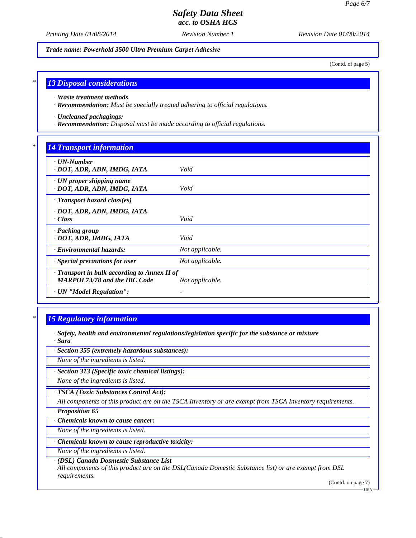*Printing Date 01/08/2014 Revision Number 1 Revision Date 01/08/2014*

*Trade name: Powerhold 3500 Ultra Premium Carpet Adhesive*

(Contd. of page 5)

#### *\* 13 Disposal considerations*

*· Waste treatment methods*

*· Recommendation: Must be specially treated adhering to official regulations.*

*· Uncleaned packagings:*

*· Recommendation: Disposal must be made according to official regulations.*

### *\* 14 Transport information*

| $\cdot$ UN-Number<br>· DOT, ADR, ADN, IMDG, IATA                                    | Void                     |
|-------------------------------------------------------------------------------------|--------------------------|
| $\cdot$ UN proper shipping name<br>· DOT, ADR, ADN, IMDG, IATA                      | Void                     |
| · Transport hazard class(es)                                                        |                          |
| · DOT, ADR, ADN, IMDG, IATA<br>$\cdot Class$                                        | Void                     |
| · Packing group<br>· DOT, ADR, IMDG, IATA                                           | Void                     |
| · Environmental hazards:                                                            | Not applicable.          |
| · Special precautions for user                                                      | Not applicable.          |
| · Transport in bulk according to Annex II of<br><b>MARPOL73/78 and the IBC Code</b> | Not applicable.          |
| · UN "Model Regulation":                                                            | $\overline{\phantom{a}}$ |

# *\* 15 Regulatory information*

*· Safety, health and environmental regulations/legislation specific for the substance or mixture · Sara*

*· Section 355 (extremely hazardous substances):*

*None of the ingredients is listed.*

*· Section 313 (Specific toxic chemical listings):*

*None of the ingredients is listed.*

*· TSCA (Toxic Substances Control Act):*

*All components of this product are on the TSCA Inventory or are exempt from TSCA Inventory requirements.*

*· Proposition 65*

*· Chemicals known to cause cancer:*

*None of the ingredients is listed.*

*· Chemicals known to cause reproductive toxicity:*

*None of the ingredients is listed.*

*· (DSL) Canada Dosmestic Substance List*

*All components of this product are on the DSL(Canada Domestic Substance list) or are exempt from DSL requirements.*

(Contd. on page 7)

USA